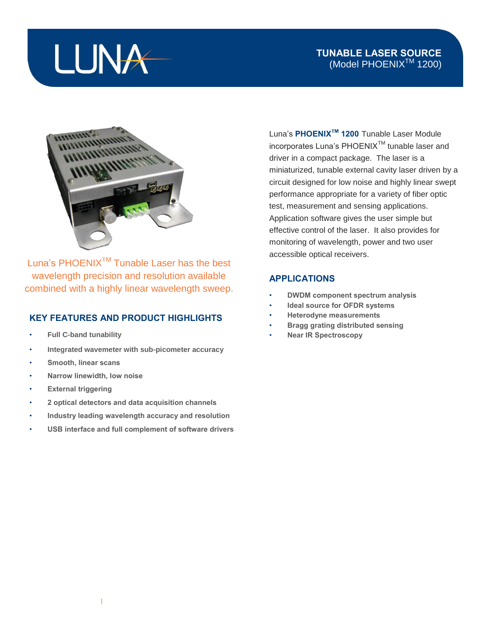## LUNA

### **TUNABLE LASER SOURCE** (Model PHOENIX<sup>™</sup> 1200)



Luna's PHOENIX<sup>™</sup> Tunable Laser has the best wavelength precision and resolution available combined with a highly linear wavelength sweep.

#### **KEY FEATURES AND PRODUCT HIGHLIGHTS**

- **Full C-band tunability**
- **Integrated wavemeter with sub-picometer accuracy**
- **Smooth, linear scans**
- **Narrow linewidth, low noise**
- **External triggering**
- **2 optical detectors and data acquisition channels**
- **Industry leading wavelength accuracy and resolution**
- **USB interface and full complement of software drivers**

Luna's **PHOENIXTM 1200** Tunable Laser Module incorporates Luna's PHOENIX<sup>™</sup> tunable laser and driver in a compact package. The laser is a miniaturized, tunable external cavity laser driven by a circuit designed for low noise and highly linear swept performance appropriate for a variety of fiber optic test, measurement and sensing applications. Application software gives the user simple but effective control of the laser. It also provides for monitoring of wavelength, power and two user accessible optical receivers.

#### **APPLICATIONS**

- **DWDM component spectrum analysis**
- **Ideal source for OFDR systems**
- **Heterodyne measurements**
- **Bragg grating distributed sensing**
- **Near IR Spectroscopy**